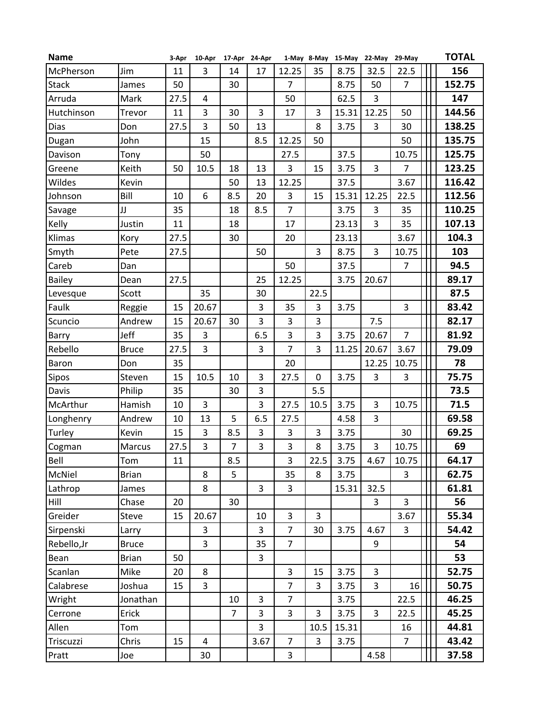| <b>Name</b>   |              | 3-Apr |                | 10-Apr 17-Apr 24-Apr |      |                |                | 1-May 8-May 15-May 22-May 29-May |       |                | <b>TOTAL</b> |
|---------------|--------------|-------|----------------|----------------------|------|----------------|----------------|----------------------------------|-------|----------------|--------------|
| McPherson     | Jim          | 11    | 3              | 14                   | 17   | 12.25          | 35             | 8.75                             | 32.5  | 22.5           | 156          |
| <b>Stack</b>  | James        | 50    |                | 30                   |      | $\overline{7}$ |                | 8.75                             | 50    | $\overline{7}$ | 152.75       |
| Arruda        | Mark         | 27.5  | 4              |                      |      | 50             |                | 62.5                             | 3     |                | 147          |
| Hutchinson    | Trevor       | 11    | 3              | 30                   | 3    | 17             | 3              | 15.31                            | 12.25 | 50             | 144.56       |
| Dias          | Don          | 27.5  | 3              | 50                   | 13   |                | 8              | 3.75                             | 3     | 30             | 138.25       |
| Dugan         | John         |       | 15             |                      | 8.5  | 12.25          | 50             |                                  |       | 50             | 135.75       |
| Davison       | Tony         |       | 50             |                      |      | 27.5           |                | 37.5                             |       | 10.75          | 125.75       |
| Greene        | Keith        | 50    | 10.5           | 18                   | 13   | 3              | 15             | 3.75                             | 3     | $\overline{7}$ | 123.25       |
| Wildes        | Kevin        |       |                | 50                   | 13   | 12.25          |                | 37.5                             |       | 3.67           | 116.42       |
| Johnson       | Bill         | 10    | 6              | 8.5                  | 20   | 3              | 15             | 15.31                            | 12.25 | 22.5           | 112.56       |
| Savage        | JJ           | 35    |                | 18                   | 8.5  | $\overline{7}$ |                | 3.75                             | 3     | 35             | 110.25       |
| Kelly         | Justin       | 11    |                | 18                   |      | 17             |                | 23.13                            | 3     | 35             | 107.13       |
| Klimas        | Kory         | 27.5  |                | 30                   |      | 20             |                | 23.13                            |       | 3.67           | 104.3        |
| Smyth         | Pete         | 27.5  |                |                      | 50   |                | 3              | 8.75                             | 3     | 10.75          | 103          |
| Careb         | Dan          |       |                |                      |      | 50             |                | 37.5                             |       | $\overline{7}$ | 94.5         |
| <b>Bailey</b> | Dean         | 27.5  |                |                      | 25   | 12.25          |                | 3.75                             | 20.67 |                | 89.17        |
| Levesque      | Scott        |       | 35             |                      | 30   |                | 22.5           |                                  |       |                | 87.5         |
| Faulk         | Reggie       | 15    | 20.67          |                      | 3    | 35             | 3              | 3.75                             |       | 3              | 83.42        |
| Scuncio       | Andrew       | 15    | 20.67          | 30                   | 3    | 3              | 3              |                                  | 7.5   |                | 82.17        |
| Barry         | Jeff         | 35    | 3              |                      | 6.5  | 3              | 3              | 3.75                             | 20.67 | $\overline{7}$ | 81.92        |
| Rebello       | <b>Bruce</b> | 27.5  | 3              |                      | 3    | $\overline{7}$ | 3              | 11.25                            | 20.67 | 3.67           | 79.09        |
| Baron         | Don          | 35    |                |                      |      | 20             |                |                                  | 12.25 | 10.75          | 78           |
| Sipos         | Steven       | 15    | 10.5           | 10                   | 3    | 27.5           | 0              | 3.75                             | 3     | 3              | 75.75        |
| Davis         | Philip       | 35    |                | 30                   | 3    |                | 5.5            |                                  |       |                | 73.5         |
| McArthur      | Hamish       | 10    | 3              |                      | 3    | 27.5           | 10.5           | 3.75                             | 3     | 10.75          | 71.5         |
| Longhenry     | Andrew       | 10    | 13             | 5                    | 6.5  | 27.5           |                | 4.58                             | 3     |                | 69.58        |
| Turley        | Kevin        | 15    | 3              | 8.5                  | 3    | 3              | 3              | 3.75                             |       | 30             | 69.25        |
| Cogman        | Marcus       | 27.5  | 3              | $\overline{7}$       | 3    | 3              | 8              | 3.75                             | 3     | 10.75          | 69           |
| Bell          | Tom          | 11    |                | 8.5                  |      | 3              | 22.5           | 3.75                             | 4.67  | 10.75          | 64.17        |
| McNiel        | <b>Brian</b> |       | 8              | 5                    |      | 35             | 8              | 3.75                             |       | $\overline{3}$ | 62.75        |
| Lathrop       | James        |       | 8              |                      | 3    | 3              |                | 15.31                            | 32.5  |                | 61.81        |
| Hill          | Chase        | 20    |                | 30                   |      |                |                |                                  | 3     | $\overline{3}$ | 56           |
| Greider       | Steve        | 15    | 20.67          |                      | 10   | $\overline{3}$ | $\overline{3}$ |                                  |       | 3.67           | 55.34        |
| Sirpenski     | Larry        |       | 3              |                      | 3    | $\overline{7}$ | 30             | 3.75                             | 4.67  | 3              | 54.42        |
| Rebello, Jr   | <b>Bruce</b> |       | $\overline{3}$ |                      | 35   | $\overline{7}$ |                |                                  | 9     |                | 54           |
| Bean          | <b>Brian</b> | 50    |                |                      | 3    |                |                |                                  |       |                | 53           |
| Scanlan       | Mike         | 20    | 8              |                      |      | 3              | 15             | 3.75                             | 3     |                | 52.75        |
| Calabrese     | Joshua       | 15    | 3              |                      |      | $\overline{7}$ | 3              | 3.75                             | 3     | 16             | 50.75        |
| Wright        | Jonathan     |       |                | 10                   | 3    | $\overline{7}$ |                | 3.75                             |       | 22.5           | 46.25        |
| Cerrone       | Erick        |       |                | $\overline{7}$       | 3    | 3              | 3              | 3.75                             | 3     | 22.5           | 45.25        |
| Allen         | Tom          |       |                |                      | 3    |                | 10.5           | 15.31                            |       | 16             | 44.81        |
| Triscuzzi     | Chris        | 15    | 4              |                      | 3.67 | $\overline{7}$ | 3              | 3.75                             |       | $\overline{7}$ | 43.42        |
| Pratt         | Joe          |       | 30             |                      |      | 3              |                |                                  | 4.58  |                | 37.58        |